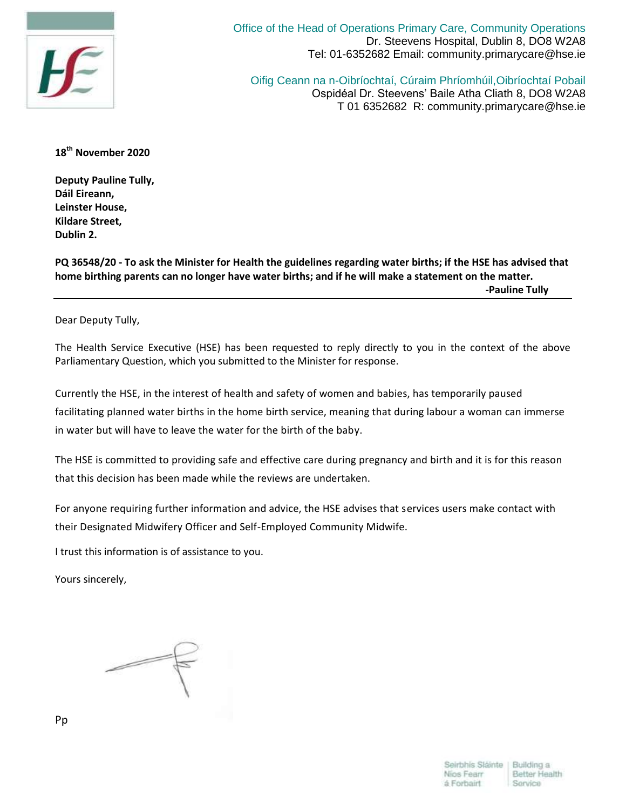

Office of the Head of Operations Primary Care, Community Operations Dr. Steevens Hospital, Dublin 8, DO8 W2A8 Tel: 01-6352682 Email: community.primarycare@hse.ie

Oifig Ceann na n-Oibríochtaí, Cúraim Phríomhúil,Oibríochtaí Pobail Ospidéal Dr. Steevens' Baile Atha Cliath 8, DO8 W2A8 T 01 6352682 R: community.primarycare@hse.ie

**18th November 2020**

**Deputy Pauline Tully, Dáil Eireann, Leinster House, Kildare Street, Dublin 2.**

**PQ 36548/20 - To ask the Minister for Health the guidelines regarding water births; if the HSE has advised that home birthing parents can no longer have water births; and if he will make a statement on the matter.** 

 **-Pauline Tully**

Dear Deputy Tully,

The Health Service Executive (HSE) has been requested to reply directly to you in the context of the above Parliamentary Question, which you submitted to the Minister for response.

Currently the HSE, in the interest of health and safety of women and babies, has temporarily paused facilitating planned water births in the home birth service, meaning that during labour a woman can immerse in water but will have to leave the water for the birth of the baby.

The HSE is committed to providing safe and effective care during pregnancy and birth and it is for this reason that this decision has been made while the reviews are undertaken.

For anyone requiring further information and advice, the HSE advises that services users make contact with their Designated Midwifery Officer and Self-Employed Community Midwife.

I trust this information is of assistance to you.

Yours sincerely,